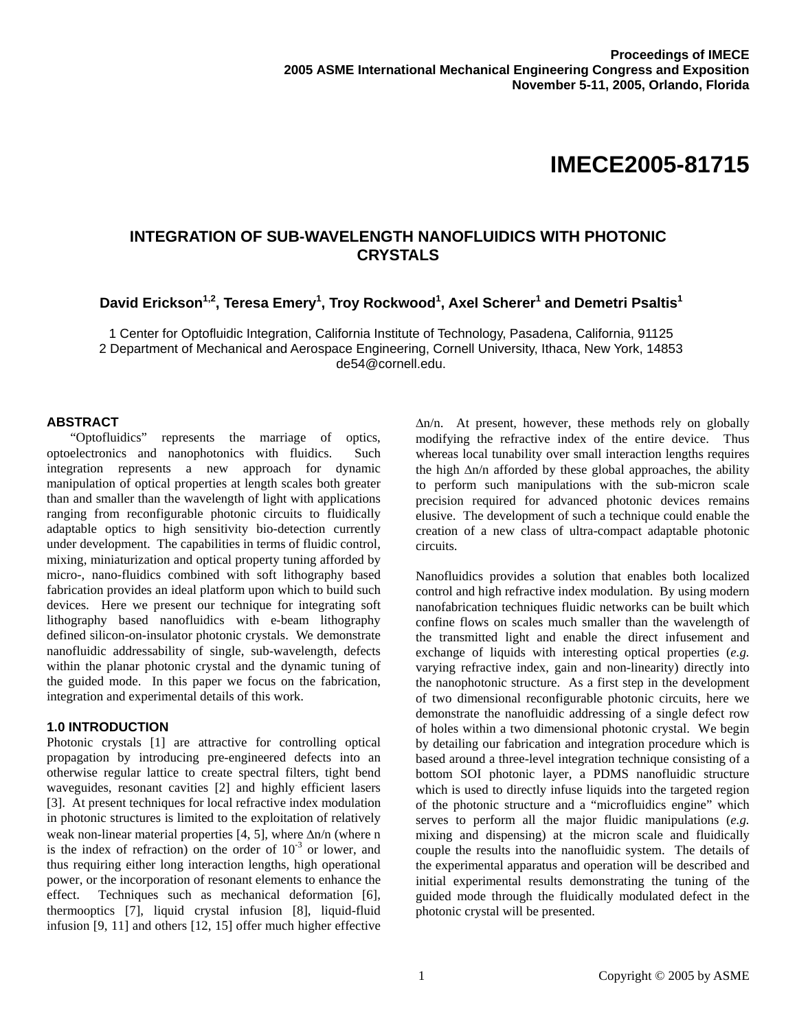# **IMECE2005-81715**

# **INTEGRATION OF SUB-WAVELENGTH NANOFLUIDICS WITH PHOTONIC CRYSTALS**

David Erickson<sup>1,2</sup>, Teresa Emery<sup>1</sup>, Troy Rockwood<sup>1</sup>, Axel Scherer<sup>1</sup> and Demetri Psaltis<sup>1</sup>

1 Center for Optofluidic Integration, California Institute of Technology, Pasadena, California, 91125 2 Department of Mechanical and Aerospace Engineering, Cornell University, Ithaca, New York, 14853 de54@cornell.edu.

#### **ABSTRACT**

"Optofluidics" represents the marriage of optics, optoelectronics and nanophotonics with fluidics. Such integration represents a new approach for dynamic manipulation of optical properties at length scales both greater than and smaller than the wavelength of light with applications ranging from reconfigurable photonic circuits to fluidically adaptable optics to high sensitivity bio-detection currently under development. The capabilities in terms of fluidic control, mixing, miniaturization and optical property tuning afforded by micro-, nano-fluidics combined with soft lithography based fabrication provides an ideal platform upon which to build such devices. Here we present our technique for integrating soft lithography based nanofluidics with e-beam lithography defined silicon-on-insulator photonic crystals. We demonstrate nanofluidic addressability of single, sub-wavelength, defects within the planar photonic crystal and the dynamic tuning of the guided mode. In this paper we focus on the fabrication, integration and experimental details of this work.

#### **1.0 INTRODUCTION**

Photonic crystals [1] are attractive for controlling optical propagation by introducing pre-engineered defects into an otherwise regular lattice to create spectral filters, tight bend waveguides, resonant cavities [2] and highly efficient lasers [3]. At present techniques for local refractive index modulation in photonic structures is limited to the exploitation of relatively weak non-linear material properties [4, 5], where ∆n/n (where n is the index of refraction) on the order of  $10^{-3}$  or lower, and thus requiring either long interaction lengths, high operational power, or the incorporation of resonant elements to enhance the effect. Techniques such as mechanical deformation [6], thermooptics [7], liquid crystal infusion [8], liquid-fluid infusion [9, 11] and others [12, 15] offer much higher effective

∆n/n. At present, however, these methods rely on globally modifying the refractive index of the entire device. Thus whereas local tunability over small interaction lengths requires the high ∆n/n afforded by these global approaches, the ability to perform such manipulations with the sub-micron scale precision required for advanced photonic devices remains elusive. The development of such a technique could enable the creation of a new class of ultra-compact adaptable photonic circuits.

Nanofluidics provides a solution that enables both localized control and high refractive index modulation. By using modern nanofabrication techniques fluidic networks can be built which confine flows on scales much smaller than the wavelength of the transmitted light and enable the direct infusement and exchange of liquids with interesting optical properties (*e.g.* varying refractive index, gain and non-linearity) directly into the nanophotonic structure. As a first step in the development of two dimensional reconfigurable photonic circuits, here we demonstrate the nanofluidic addressing of a single defect row of holes within a two dimensional photonic crystal. We begin by detailing our fabrication and integration procedure which is based around a three-level integration technique consisting of a bottom SOI photonic layer, a PDMS nanofluidic structure which is used to directly infuse liquids into the targeted region of the photonic structure and a "microfluidics engine" which serves to perform all the major fluidic manipulations (*e.g.* mixing and dispensing) at the micron scale and fluidically couple the results into the nanofluidic system. The details of the experimental apparatus and operation will be described and initial experimental results demonstrating the tuning of the guided mode through the fluidically modulated defect in the photonic crystal will be presented.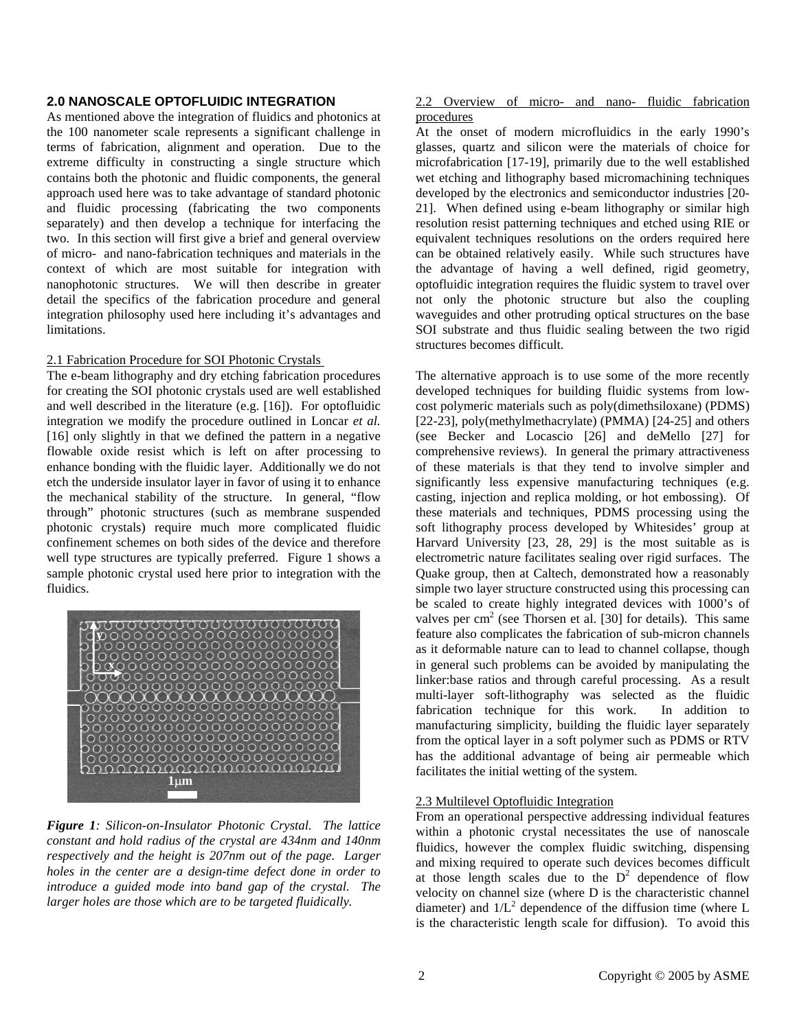# **2.0 NANOSCALE OPTOFLUIDIC INTEGRATION**

As mentioned above the integration of fluidics and photonics at the 100 nanometer scale represents a significant challenge in terms of fabrication, alignment and operation. Due to the extreme difficulty in constructing a single structure which contains both the photonic and fluidic components, the general approach used here was to take advantage of standard photonic and fluidic processing (fabricating the two components separately) and then develop a technique for interfacing the two. In this section will first give a brief and general overview of micro- and nano-fabrication techniques and materials in the context of which are most suitable for integration with nanophotonic structures. We will then describe in greater detail the specifics of the fabrication procedure and general integration philosophy used here including it's advantages and limitations.

#### 2.1 Fabrication Procedure for SOI Photonic Crystals

The e-beam lithography and dry etching fabrication procedures for creating the SOI photonic crystals used are well established and well described in the literature (e.g. [16]). For optofluidic integration we modify the procedure outlined in Loncar *et al.* [16] only slightly in that we defined the pattern in a negative flowable oxide resist which is left on after processing to enhance bonding with the fluidic layer. Additionally we do not etch the underside insulator layer in favor of using it to enhance the mechanical stability of the structure. In general, "flow through" photonic structures (such as membrane suspended photonic crystals) require much more complicated fluidic confinement schemes on both sides of the device and therefore well type structures are typically preferred. Figure 1 shows a sample photonic crystal used here prior to integration with the fluidics.



*Figure 1: Silicon-on-Insulator Photonic Crystal. The lattice constant and hold radius of the crystal are 434nm and 140nm respectively and the height is 207nm out of the page. Larger holes in the center are a design-time defect done in order to introduce a guided mode into band gap of the crystal. The larger holes are those which are to be targeted fluidically.* 

# 2.2 Overview of micro- and nano- fluidic fabrication procedures

At the onset of modern microfluidics in the early 1990's glasses, quartz and silicon were the materials of choice for microfabrication [17-19], primarily due to the well established wet etching and lithography based micromachining techniques developed by the electronics and semiconductor industries [20- 21]. When defined using e-beam lithography or similar high resolution resist patterning techniques and etched using RIE or equivalent techniques resolutions on the orders required here can be obtained relatively easily. While such structures have the advantage of having a well defined, rigid geometry, optofluidic integration requires the fluidic system to travel over not only the photonic structure but also the coupling waveguides and other protruding optical structures on the base SOI substrate and thus fluidic sealing between the two rigid structures becomes difficult.

The alternative approach is to use some of the more recently developed techniques for building fluidic systems from lowcost polymeric materials such as poly(dimethsiloxane) (PDMS) [22-23], poly(methylmethacrylate) (PMMA) [24-25] and others (see Becker and Locascio [26] and deMello [27] for comprehensive reviews). In general the primary attractiveness of these materials is that they tend to involve simpler and significantly less expensive manufacturing techniques (e.g. casting, injection and replica molding, or hot embossing). Of these materials and techniques, PDMS processing using the soft lithography process developed by Whitesides' group at Harvard University [23, 28, 29] is the most suitable as is electrometric nature facilitates sealing over rigid surfaces. The Quake group, then at Caltech, demonstrated how a reasonably simple two layer structure constructed using this processing can be scaled to create highly integrated devices with 1000's of valves per  $\text{cm}^2$  (see Thorsen et al. [30] for details). This same feature also complicates the fabrication of sub-micron channels as it deformable nature can to lead to channel collapse, though in general such problems can be avoided by manipulating the linker:base ratios and through careful processing. As a result multi-layer soft-lithography was selected as the fluidic fabrication technique for this work. In addition to manufacturing simplicity, building the fluidic layer separately from the optical layer in a soft polymer such as PDMS or RTV has the additional advantage of being air permeable which facilitates the initial wetting of the system.

# 2.3 Multilevel Optofluidic Integration

From an operational perspective addressing individual features within a photonic crystal necessitates the use of nanoscale fluidics, however the complex fluidic switching, dispensing and mixing required to operate such devices becomes difficult at those length scales due to the  $D^2$  dependence of flow velocity on channel size (where D is the characteristic channel diameter) and  $1/L^2$  dependence of the diffusion time (where L is the characteristic length scale for diffusion). To avoid this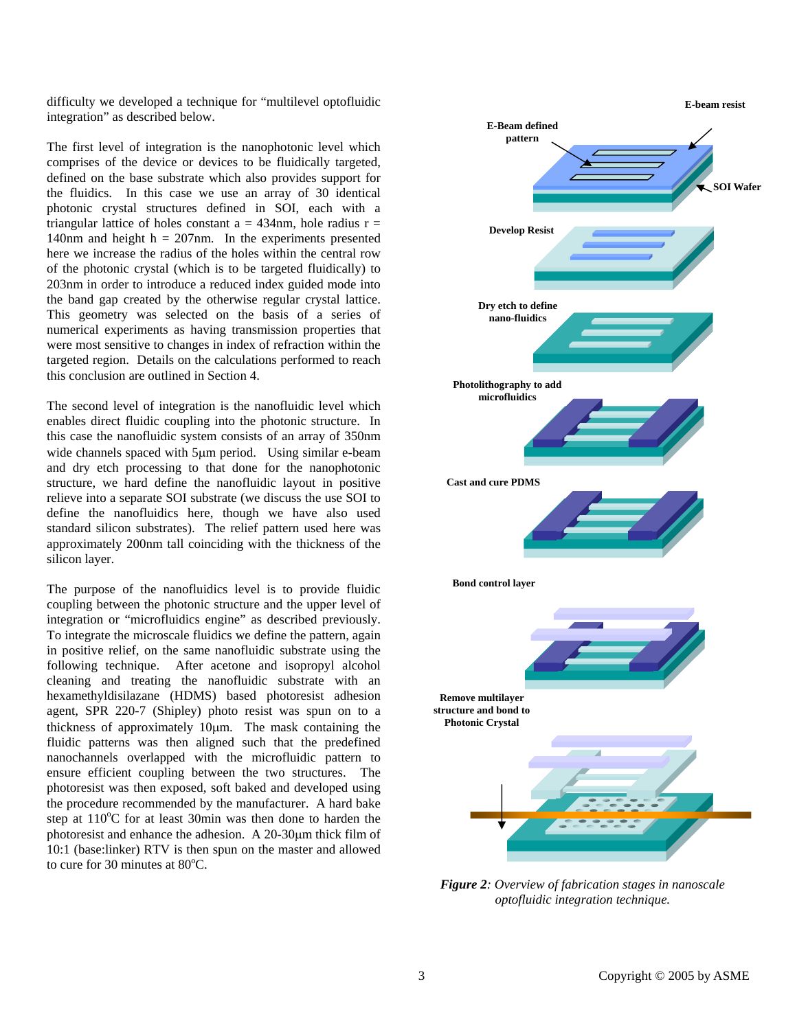difficulty we developed a technique for "multilevel optofluidic integration" as described below.

The first level of integration is the nanophotonic level which comprises of the device or devices to be fluidically targeted, defined on the base substrate which also provides support for the fluidics. In this case we use an array of 30 identical photonic crystal structures defined in SOI, each with a triangular lattice of holes constant  $a = 434$ nm, hole radius  $r =$ 140nm and height  $h = 207$ nm. In the experiments presented here we increase the radius of the holes within the central row of the photonic crystal (which is to be targeted fluidically) to 203nm in order to introduce a reduced index guided mode into the band gap created by the otherwise regular crystal lattice. This geometry was selected on the basis of a series of numerical experiments as having transmission properties that were most sensitive to changes in index of refraction within the targeted region. Details on the calculations performed to reach this conclusion are outlined in Section 4.

The second level of integration is the nanofluidic level which enables direct fluidic coupling into the photonic structure. In this case the nanofluidic system consists of an array of 350nm wide channels spaced with 5µm period. Using similar e-beam and dry etch processing to that done for the nanophotonic structure, we hard define the nanofluidic layout in positive relieve into a separate SOI substrate (we discuss the use SOI to define the nanofluidics here, though we have also used standard silicon substrates). The relief pattern used here was approximately 200nm tall coinciding with the thickness of the silicon layer.

The purpose of the nanofluidics level is to provide fluidic coupling between the photonic structure and the upper level of integration or "microfluidics engine" as described previously. To integrate the microscale fluidics we define the pattern, again in positive relief, on the same nanofluidic substrate using the following technique. After acetone and isopropyl alcohol cleaning and treating the nanofluidic substrate with an hexamethyldisilazane (HDMS) based photoresist adhesion agent, SPR 220-7 (Shipley) photo resist was spun on to a thickness of approximately 10µm. The mask containing the fluidic patterns was then aligned such that the predefined nanochannels overlapped with the microfluidic pattern to ensure efficient coupling between the two structures. The photoresist was then exposed, soft baked and developed using the procedure recommended by the manufacturer. A hard bake step at  $110^{\circ}$ C for at least 30min was then done to harden the photoresist and enhance the adhesion. A 20-30µm thick film of 10:1 (base:linker) RTV is then spun on the master and allowed to cure for 30 minutes at  $80^{\circ}$ C.



*Figure 2: Overview of fabrication stages in nanoscale optofluidic integration technique.*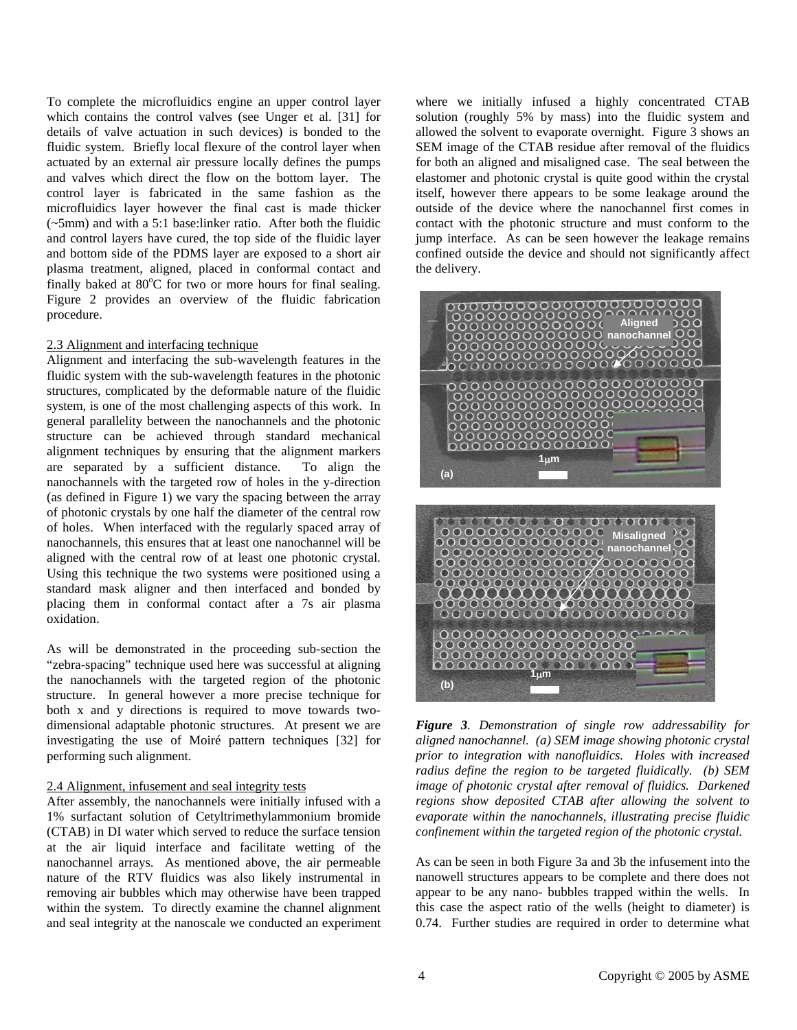To complete the microfluidics engine an upper control layer which contains the control valves (see Unger et al. [31] for details of valve actuation in such devices) is bonded to the fluidic system. Briefly local flexure of the control layer when actuated by an external air pressure locally defines the pumps and valves which direct the flow on the bottom layer. The control layer is fabricated in the same fashion as the microfluidics layer however the final cast is made thicker (~5mm) and with a 5:1 base:linker ratio. After both the fluidic and control layers have cured, the top side of the fluidic layer and bottom side of the PDMS layer are exposed to a short air plasma treatment, aligned, placed in conformal contact and finally baked at  $80^{\circ}$ C for two or more hours for final sealing. Figure 2 provides an overview of the fluidic fabrication procedure.

#### 2.3 Alignment and interfacing technique

Alignment and interfacing the sub-wavelength features in the fluidic system with the sub-wavelength features in the photonic structures, complicated by the deformable nature of the fluidic system, is one of the most challenging aspects of this work. In general parallelity between the nanochannels and the photonic structure can be achieved through standard mechanical alignment techniques by ensuring that the alignment markers are separated by a sufficient distance. To align the nanochannels with the targeted row of holes in the y-direction (as defined in Figure 1) we vary the spacing between the array of photonic crystals by one half the diameter of the central row of holes. When interfaced with the regularly spaced array of nanochannels, this ensures that at least one nanochannel will be aligned with the central row of at least one photonic crystal. Using this technique the two systems were positioned using a standard mask aligner and then interfaced and bonded by placing them in conformal contact after a 7s air plasma oxidation.

As will be demonstrated in the proceeding sub-section the "zebra-spacing" technique used here was successful at aligning the nanochannels with the targeted region of the photonic structure. In general however a more precise technique for both x and y directions is required to move towards twodimensional adaptable photonic structures. At present we are investigating the use of Moiré pattern techniques [32] for performing such alignment.

#### 2.4 Alignment, infusement and seal integrity tests

After assembly, the nanochannels were initially infused with a 1% surfactant solution of Cetyltrimethylammonium bromide (CTAB) in DI water which served to reduce the surface tension at the air liquid interface and facilitate wetting of the nanochannel arrays. As mentioned above, the air permeable nature of the RTV fluidics was also likely instrumental in removing air bubbles which may otherwise have been trapped within the system. To directly examine the channel alignment and seal integrity at the nanoscale we conducted an experiment

where we initially infused a highly concentrated CTAB solution (roughly 5% by mass) into the fluidic system and allowed the solvent to evaporate overnight. Figure 3 shows an SEM image of the CTAB residue after removal of the fluidics for both an aligned and misaligned case. The seal between the elastomer and photonic crystal is quite good within the crystal itself, however there appears to be some leakage around the outside of the device where the nanochannel first comes in contact with the photonic structure and must conform to the jump interface. As can be seen however the leakage remains confined outside the device and should not significantly affect the delivery.



*Figure 3. Demonstration of single row addressability for aligned nanochannel. (a) SEM image showing photonic crystal prior to integration with nanofluidics. Holes with increased radius define the region to be targeted fluidically. (b) SEM image of photonic crystal after removal of fluidics. Darkened regions show deposited CTAB after allowing the solvent to evaporate within the nanochannels, illustrating precise fluidic confinement within the targeted region of the photonic crystal.* 

As can be seen in both Figure 3a and 3b the infusement into the nanowell structures appears to be complete and there does not appear to be any nano- bubbles trapped within the wells. In this case the aspect ratio of the wells (height to diameter) is 0.74. Further studies are required in order to determine what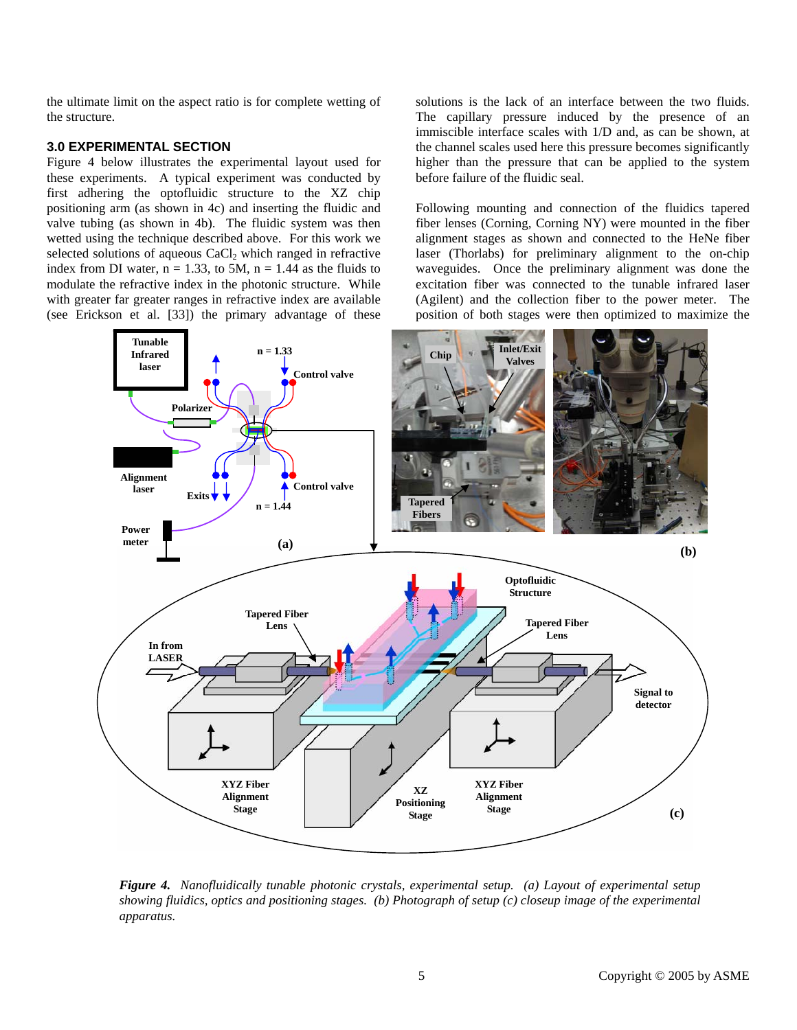the ultimate limit on the aspect ratio is for complete wetting of the structure.

#### **3.0 EXPERIMENTAL SECTION**

Figure 4 below illustrates the experimental layout used for these experiments. A typical experiment was conducted by first adhering the optofluidic structure to the XZ chip positioning arm (as shown in 4c) and inserting the fluidic and valve tubing (as shown in 4b). The fluidic system was then wetted using the technique described above. For this work we selected solutions of aqueous CaCl<sub>2</sub> which ranged in refractive index from DI water,  $n = 1.33$ , to 5M,  $n = 1.44$  as the fluids to modulate the refractive index in the photonic structure. While with greater far greater ranges in refractive index are available (see Erickson et al. [33]) the primary advantage of these

solutions is the lack of an interface between the two fluids. The capillary pressure induced by the presence of an immiscible interface scales with 1/D and, as can be shown, at the channel scales used here this pressure becomes significantly higher than the pressure that can be applied to the system before failure of the fluidic seal.

Following mounting and connection of the fluidics tapered fiber lenses (Corning, Corning NY) were mounted in the fiber alignment stages as shown and connected to the HeNe fiber laser (Thorlabs) for preliminary alignment to the on-chip waveguides. Once the preliminary alignment was done the excitation fiber was connected to the tunable infrared laser (Agilent) and the collection fiber to the power meter. The position of both stages were then optimized to maximize the



*Figure 4. Nanofluidically tunable photonic crystals, experimental setup. (a) Layout of experimental setup showing fluidics, optics and positioning stages. (b) Photograph of setup (c) closeup image of the experimental apparatus.*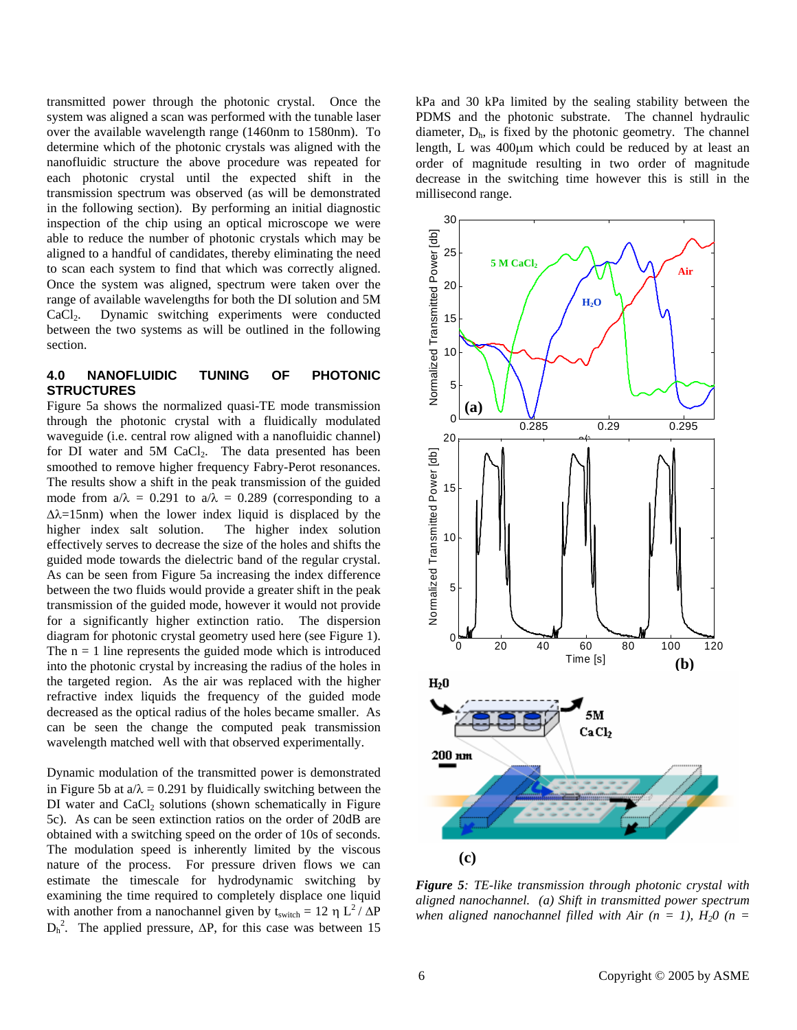transmitted power through the photonic crystal. Once the system was aligned a scan was performed with the tunable laser over the available wavelength range (1460nm to 1580nm). To determine which of the photonic crystals was aligned with the nanofluidic structure the above procedure was repeated for each photonic crystal until the expected shift in the transmission spectrum was observed (as will be demonstrated in the following section). By performing an initial diagnostic inspection of the chip using an optical microscope we were able to reduce the number of photonic crystals which may be aligned to a handful of candidates, thereby eliminating the need to scan each system to find that which was correctly aligned. Once the system was aligned, spectrum were taken over the range of available wavelengths for both the DI solution and 5M CaCl2. Dynamic switching experiments were conducted between the two systems as will be outlined in the following section.

# **4.0 NANOFLUIDIC TUNING OF PHOTONIC STRUCTURES**

Figure 5a shows the normalized quasi-TE mode transmission through the photonic crystal with a fluidically modulated waveguide (i.e. central row aligned with a nanofluidic channel) for DI water and 5M  $CaCl<sub>2</sub>$ . The data presented has been smoothed to remove higher frequency Fabry-Perot resonances. The results show a shift in the peak transmission of the guided mode from  $a/\lambda = 0.291$  to  $a/\lambda = 0.289$  (corresponding to a ∆λ=15nm) when the lower index liquid is displaced by the higher index salt solution. The higher index solution effectively serves to decrease the size of the holes and shifts the guided mode towards the dielectric band of the regular crystal. As can be seen from Figure 5a increasing the index difference between the two fluids would provide a greater shift in the peak transmission of the guided mode, however it would not provide for a significantly higher extinction ratio. The dispersion diagram for photonic crystal geometry used here (see Figure 1). The  $n = 1$  line represents the guided mode which is introduced into the photonic crystal by increasing the radius of the holes in the targeted region. As the air was replaced with the higher refractive index liquids the frequency of the guided mode decreased as the optical radius of the holes became smaller. As can be seen the change the computed peak transmission wavelength matched well with that observed experimentally.

Dynamic modulation of the transmitted power is demonstrated in Figure 5b at  $a/\lambda = 0.291$  by fluidically switching between the DI water and  $CaCl<sub>2</sub>$  solutions (shown schematically in Figure 5c). As can be seen extinction ratios on the order of 20dB are obtained with a switching speed on the order of 10s of seconds. The modulation speed is inherently limited by the viscous nature of the process. For pressure driven flows we can estimate the timescale for hydrodynamic switching by examining the time required to completely displace one liquid with another from a nanochannel given by  $t_{switch} = 12 \eta L^2 / \Delta P$  $D_h^2$ . The applied pressure,  $\Delta P$ , for this case was between 15 kPa and 30 kPa limited by the sealing stability between the PDMS and the photonic substrate. The channel hydraulic diameter,  $D_h$ , is fixed by the photonic geometry. The channel length, L was 400µm which could be reduced by at least an order of magnitude resulting in two order of magnitude decrease in the switching time however this is still in the millisecond range.



*Figure 5: TE-like transmission through photonic crystal with aligned nanochannel. (a) Shift in transmitted power spectrum*  when aligned nanochannel filled with Air  $(n = 1)$ ,  $H<sub>2</sub>0$   $(n = 1)$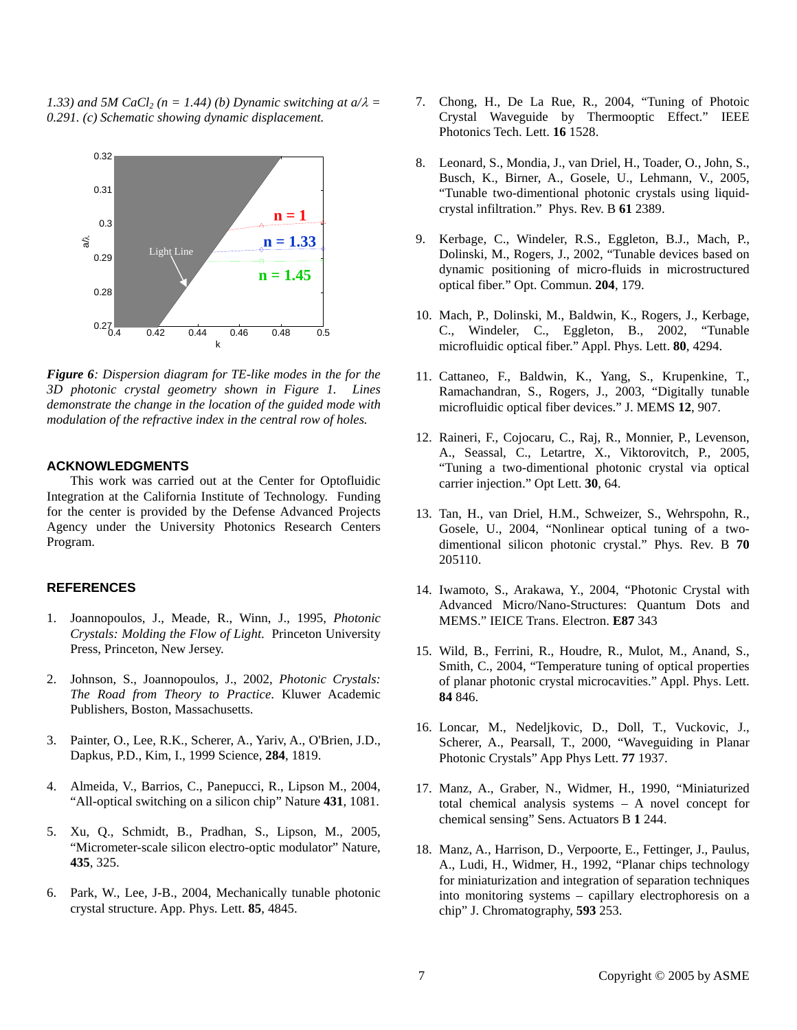*1.33) and 5M CaCl<sub>2</sub> (n = 1.44) (b) Dynamic switching at*  $a/\lambda$  *= 0.291. (c) Schematic showing dynamic displacement.* 



*Figure 6: Dispersion diagram for TE-like modes in the for the 3D photonic crystal geometry shown in Figure 1. Lines demonstrate the change in the location of the guided mode with modulation of the refractive index in the central row of holes.* 

# **ACKNOWLEDGMENTS**

This work was carried out at the Center for Optofluidic Integration at the California Institute of Technology. Funding for the center is provided by the Defense Advanced Projects Agency under the University Photonics Research Centers Program.

# **REFERENCES**

- 1. Joannopoulos, J., Meade, R., Winn, J., 1995, *Photonic Crystals: Molding the Flow of Light*. Princeton University Press, Princeton, New Jersey.
- 2. Johnson, S., Joannopoulos, J., 2002, *Photonic Crystals: The Road from Theory to Practice*. Kluwer Academic Publishers, Boston, Massachusetts.
- 3. Painter, O., Lee, R.K., Scherer, A., Yariv, A., O'Brien, J.D., Dapkus, P.D., Kim, I., 1999 Science, **284**, 1819.
- 4. Almeida, V., Barrios, C., Panepucci, R., Lipson M., 2004, "All-optical switching on a silicon chip" Nature **431**, 1081.
- 5. Xu, Q., Schmidt, B., Pradhan, S., Lipson, M., 2005, "Micrometer-scale silicon electro-optic modulator" Nature, **435**, 325.
- 6. Park, W., Lee, J-B., 2004, Mechanically tunable photonic crystal structure. App. Phys. Lett. **85**, 4845.
- 7. Chong, H., De La Rue, R., 2004, "Tuning of Photoic Crystal Waveguide by Thermooptic Effect." IEEE Photonics Tech. Lett. **16** 1528.
- 8. Leonard, S., Mondia, J., van Driel, H., Toader, O., John, S., Busch, K., Birner, A., Gosele, U., Lehmann, V., 2005, "Tunable two-dimentional photonic crystals using liquidcrystal infiltration." Phys. Rev. B **61** 2389.
- 9. Kerbage, C., Windeler, R.S., Eggleton, B.J., Mach, P., Dolinski, M., Rogers, J., 2002, "Tunable devices based on dynamic positioning of micro-fluids in microstructured optical fiber." Opt. Commun. **204**, 179.
- 10. Mach, P., Dolinski, M., Baldwin, K., Rogers, J., Kerbage, C., Windeler, C., Eggleton, B., 2002, "Tunable microfluidic optical fiber." Appl. Phys. Lett. **80**, 4294.
- 11. Cattaneo, F., Baldwin, K., Yang, S., Krupenkine, T., Ramachandran, S., Rogers, J., 2003, "Digitally tunable microfluidic optical fiber devices." J. MEMS **12**, 907.
- 12. Raineri, F., Cojocaru, C., Raj, R., Monnier, P., Levenson, A., Seassal, C., Letartre, X., Viktorovitch, P., 2005, "Tuning a two-dimentional photonic crystal via optical carrier injection." Opt Lett. **30**, 64.
- 13. Tan, H., van Driel, H.M., Schweizer, S., Wehrspohn, R., Gosele, U., 2004, "Nonlinear optical tuning of a twodimentional silicon photonic crystal." Phys. Rev. B **70** 205110.
- 14. Iwamoto, S., Arakawa, Y., 2004, "Photonic Crystal with Advanced Micro/Nano-Structures: Quantum Dots and MEMS." IEICE Trans. Electron. **E87** 343
- 15. Wild, B., Ferrini, R., Houdre, R., Mulot, M., Anand, S., Smith, C., 2004, "Temperature tuning of optical properties of planar photonic crystal microcavities." Appl. Phys. Lett. **84** 846.
- 16. Loncar, M., Nedeljkovic, D., Doll, T., Vuckovic, J., Scherer, A., Pearsall, T., 2000, "Waveguiding in Planar Photonic Crystals" App Phys Lett. **77** 1937.
- 17. Manz, A., Graber, N., Widmer, H., 1990, "Miniaturized total chemical analysis systems – A novel concept for chemical sensing" Sens. Actuators B **1** 244.
- 18. Manz, A., Harrison, D., Verpoorte, E., Fettinger, J., Paulus, A., Ludi, H., Widmer, H., 1992, "Planar chips technology for miniaturization and integration of separation techniques into monitoring systems – capillary electrophoresis on a chip" J. Chromatography, **593** 253.